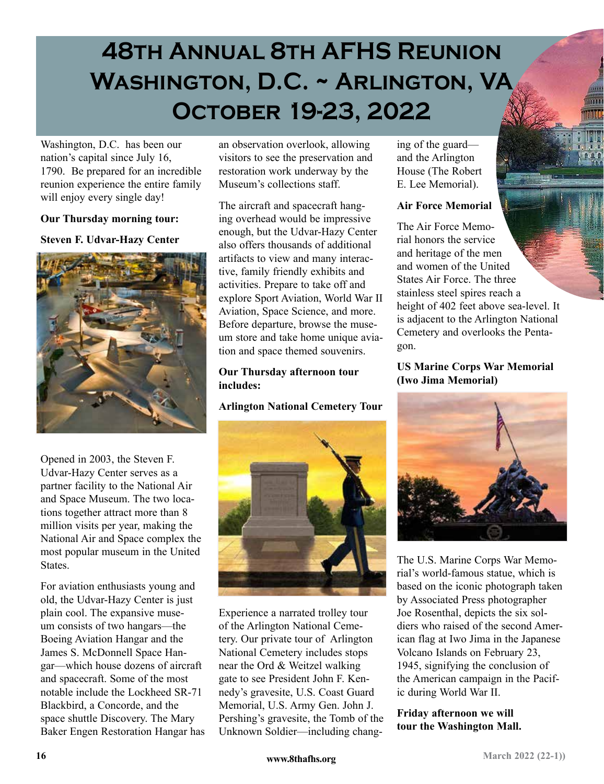# **48th Annual 8th AFHS Reunion Washington, D.C. ~ Arlington, VA October 19-23, 2022**

Washington, D.C. has been our nation's capital since July 16, 1790. Be prepared for an incredible reunion experience the entire family will enjoy every single day!

#### **Our Thursday morning tour:**

#### **Steven F. Udvar-Hazy Center**



Opened in 2003, the Steven F. Udvar-Hazy Center serves as a partner facility to the National Air and Space Museum. The two locations together attract more than 8 million visits per year, making the National Air and Space complex the most popular museum in the United States.

For aviation enthusiasts young and old, the Udvar-Hazy Center is just plain cool. The expansive museum consists of two hangars—the Boeing Aviation Hangar and the James S. McDonnell Space Hangar—which house dozens of aircraft and spacecraft. Some of the most notable include the Lockheed SR-71 Blackbird, a Concorde, and the space shuttle Discovery. The Mary Baker Engen Restoration Hangar has an observation overlook, allowing visitors to see the preservation and restoration work underway by the Museum's collections staff.

The aircraft and spacecraft hanging overhead would be impressive enough, but the Udvar-Hazy Center also offers thousands of additional artifacts to view and many interactive, family friendly exhibits and activities. Prepare to take off and explore Sport Aviation, World War II Aviation, Space Science, and more. Before departure, browse the museum store and take home unique aviation and space themed souvenirs.

#### **Our Thursday afternoon tour includes:**

### **Arlington National Cemetery Tour**



Experience a narrated trolley tour of the Arlington National Cemetery. Our private tour of Arlington National Cemetery includes stops near the Ord & Weitzel walking gate to see President John F. Kennedy's gravesite, U.S. Coast Guard Memorial, U.S. Army Gen. John J. Pershing's gravesite, the Tomb of the Unknown Soldier—including changing of the guard and the Arlington House (The Robert E. Lee Memorial).

### **Air Force Memorial**

The Air Force Memorial honors the service and heritage of the men and women of the United States Air Force. The three stainless steel spires reach a height of 402 feet above sea-level. It is adjacent to the Arlington National Cemetery and overlooks the Pentagon.

**US Marine Corps War Memorial (Iwo Jima Memorial)**



The U.S. Marine Corps War Memorial's world-famous statue, which is based on the iconic photograph taken by Associated Press photographer Joe Rosenthal, depicts the six soldiers who raised of the second American flag at Iwo Jima in the Japanese Volcano Islands on February 23, 1945, signifying the conclusion of the American campaign in the Pacific during World War II.

### **Friday afternoon we will tour the Washington Mall.**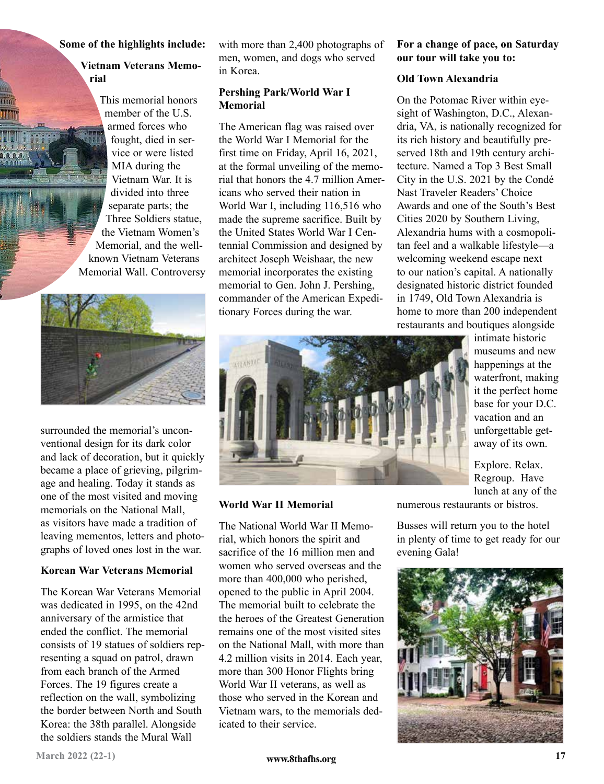#### **Some of the highlights include:**

#### **Vietnam Veterans Memorial**

This memorial honors member of the U.S. armed forces who fought, died in service or were listed MIA during the Vietnam War. It is divided into three separate parts; the Three Soldiers statue, the Vietnam Women's Memorial, and the wellknown Vietnam Veterans Memorial Wall. Controversy



surrounded the memorial's unconventional design for its dark color and lack of decoration, but it quickly became a place of grieving, pilgrimage and healing. Today it stands as one of the most visited and moving memorials on the National Mall, as visitors have made a tradition of leaving mementos, letters and photographs of loved ones lost in the war.

### **Korean War Veterans Memorial**

The Korean War Veterans Memorial was dedicated in 1995, on the 42nd anniversary of the armistice that ended the conflict. The memorial consists of 19 statues of soldiers representing a squad on patrol, drawn from each branch of the Armed Forces. The 19 figures create a reflection on the wall, symbolizing the border between North and South Korea: the 38th parallel. Alongside the soldiers stands the Mural Wall

with more than 2,400 photographs of men, women, and dogs who served in Korea.

#### **Pershing Park/World War I Memorial**

The American flag was raised over the World War I Memorial for the first time on Friday, April 16, 2021, at the formal unveiling of the memorial that honors the 4.7 million Americans who served their nation in World War I, including 116,516 who made the supreme sacrifice. Built by the United States World War I Centennial Commission and designed by architect Joseph Weishaar, the new memorial incorporates the existing memorial to Gen. John J. Pershing, commander of the American Expeditionary Forces during the war.

#### **For a change of pace, on Saturday our tour will take you to:**

#### **Old Town Alexandria**

On the Potomac River within eyesight of Washington, D.C., Alexandria, VA, is nationally recognized for its rich history and beautifully preserved 18th and 19th century architecture. Named a Top 3 Best Small City in the U.S. 2021 by the Condé Nast Traveler Readers' Choice Awards and one of the South's Best Cities 2020 by Southern Living, Alexandria hums with a cosmopolitan feel and a walkable lifestyle—a welcoming weekend escape next to our nation's capital. A nationally designated historic district founded in 1749, Old Town Alexandria is home to more than 200 independent restaurants and boutiques alongside



**World War II Memorial**

The National World War II Memorial, which honors the spirit and sacrifice of the 16 million men and women who served overseas and the more than 400,000 who perished, opened to the public in April 2004. The memorial built to celebrate the the heroes of the Greatest Generation remains one of the most visited sites on the National Mall, with more than 4.2 million visits in 2014. Each year, more than 300 Honor Flights bring World War II veterans, as well as those who served in the Korean and Vietnam wars, to the memorials dedicated to their service.

lunch at any of the numerous restaurants or bistros.

Busses will return you to the hotel in plenty of time to get ready for our evening Gala!

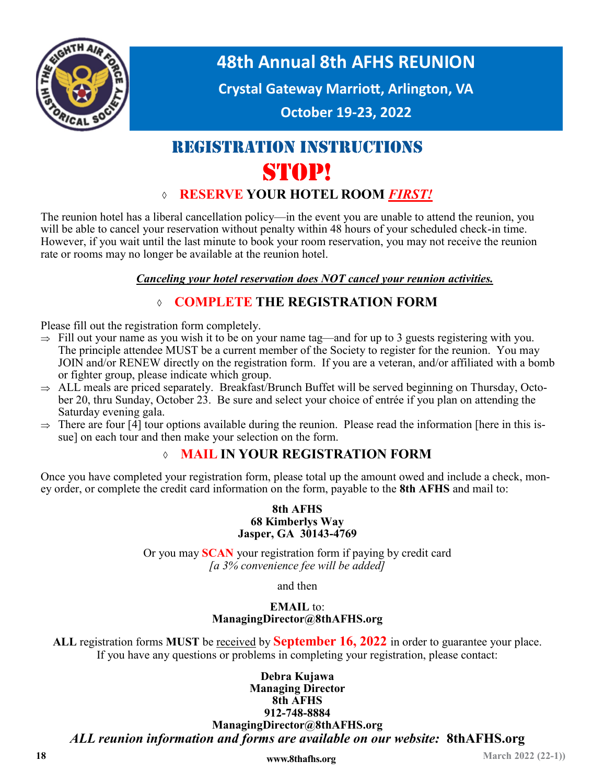

**48th Annual 8th AFHS REUNION**

**Crystal Gateway Marriott, Arlington, VA**

**October 19-23, 2022**

## REGISTRATION INSTRUCTIONS STOP!

### **RESERVE YOUR HOTEL ROOM** *FIRST!*

The reunion hotel has a liberal cancellation policy—in the event you are unable to attend the reunion, you will be able to cancel your reservation without penalty within 48 hours of your scheduled check-in time. However, if you wait until the last minute to book your room reservation, you may not receive the reunion rate or rooms may no longer be available at the reunion hotel.

*Canceling your hotel reservation does NOT cancel your reunion activities.*

### **COMPLETE THE REGISTRATION FORM**

Please fill out the registration form completely.

- $\Rightarrow$  Fill out your name as you wish it to be on your name tag—and for up to 3 guests registering with you. The principle attendee MUST be a current member of the Society to register for the reunion. You may JOIN and/or RENEW directly on the registration form. If you are a veteran, and/or affiliated with a bomb or fighter group, please indicate which group.
- $\Rightarrow$  ALL meals are priced separately. Breakfast/Brunch Buffet will be served beginning on Thursday, October 20, thru Sunday, October 23. Be sure and select your choice of entrée if you plan on attending the Saturday evening gala.
- $\Rightarrow$  There are four [4] tour options available during the reunion. Please read the information [here in this issue] on each tour and then make your selection on the form.

### **MAIL IN YOUR REGISTRATION FORM**

Once you have completed your registration form, please total up the amount owed and include a check, money order, or complete the credit card information on the form, payable to the **8th AFHS** and mail to:

#### **8th AFHS 68 Kimberlys Way Jasper, GA 30143-4769**

Or you may **SCAN** your registration form if paying by credit card *[a 3% convenience fee will be added]* 

and then

### **EMAIL** to: **ManagingDirector@8thAFHS.org**

**ALL** registration forms **MUST** be received by **September 16, 2022** in order to guarantee your place. If you have any questions or problems in completing your registration, please contact:

**Debra Kujawa Managing Director 8th AFHS 912-748-8884 ManagingDirector@8thAFHS.org**  *ALL reunion information and forms are available on our website:* **8thAFHS.org**

**18** *www.8thafhs.org* **<b>18 March 2022 (22-1)**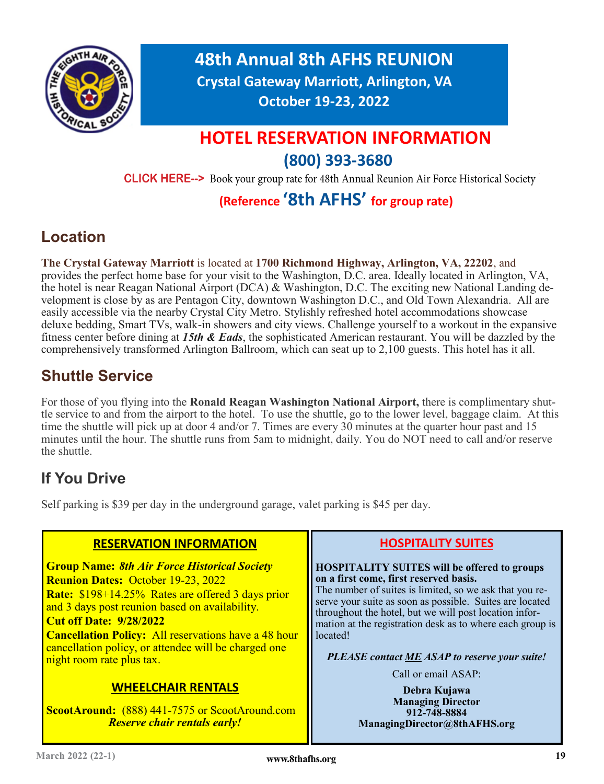

**48th Annual 8th AFHS REUNION Crystal Gateway Marriott, Arlington, VA October 19-23, 2022**

## **HOTEL RESERVATION INFORMATION (800) 393-3680**

**CLICK HERE-->** Book your group rate for 48th Annual Reunion Air Force Historical Society

### **(Reference '8th AFHS' for group rate)**

### **Location**

**The Crystal Gateway Marriott** is located at **1700 Richmond Highway, Arlington, VA, 22202**, and provides the perfect home base for your visit to the Washington, D.C. area. Ideally located in Arlington, VA, the hotel is near Reagan National Airport (DCA) & Washington, D.C. The exciting new National Landing development is close by as are Pentagon City, downtown Washington D.C., and Old Town Alexandria. All are easily accessible via the nearby Crystal City Metro. Stylishly refreshed hotel accommodations showcase deluxe bedding, Smart TVs, walk-in showers and city views. Challenge yourself to a workout in the expansive fitness center before dining at *15th & Eads*, the sophisticated American restaurant. You will be dazzled by the comprehensively transformed Arlington Ballroom, which can seat up to 2,100 guests. This hotel has it all.

### **Shuttle Service**

For those of you flying into the **Ronald Reagan Washington National Airport,** there is complimentary shuttle service to and from the airport to the hotel. To use the shuttle, go to the lower level, baggage claim. At this time the shuttle will pick up at door 4 and/or 7. Times are every 30 minutes at the quarter hour past and 15 minutes until the hour. The shuttle runs from 5am to midnight, daily. You do NOT need to call and/or reserve the shuttle.

### **If You Drive**

Self parking is \$39 per day in the underground garage, valet parking is \$45 per day.

| <b>RESERVATION INFORMATION</b>                                                                                                                                                                                                                                                                                                                                                                                                                                                                                             | <b>HOSPITALITY SUITES</b>                                                                                                                                                                                                                                                                                                                                                                                                                                                                                                                 |  |
|----------------------------------------------------------------------------------------------------------------------------------------------------------------------------------------------------------------------------------------------------------------------------------------------------------------------------------------------------------------------------------------------------------------------------------------------------------------------------------------------------------------------------|-------------------------------------------------------------------------------------------------------------------------------------------------------------------------------------------------------------------------------------------------------------------------------------------------------------------------------------------------------------------------------------------------------------------------------------------------------------------------------------------------------------------------------------------|--|
| <b>Group Name: 8th Air Force Historical Society</b><br><b>Reunion Dates: October 19-23, 2022</b><br><b>Rate:</b> \$198+14.25% Rates are offered 3 days prior<br>and 3 days post reunion based on availability.<br><b>Cut off Date: 9/28/2022</b><br><b>Cancellation Policy:</b> All reservations have a 48 hour<br>cancellation policy, or attendee will be charged one<br>night room rate plus tax.<br><b>WHEELCHAIR RENTALS</b><br>ScootAround: (888) 441-7575 or ScootAround.com<br><b>Reserve chair rentals early!</b> | <b>HOSPITALITY SUITES will be offered to groups</b><br>on a first come, first reserved basis.<br>The number of suites is limited, so we ask that you re-<br>serve your suite as soon as possible. Suites are located<br>throughout the hotel, but we will post location infor-<br>mation at the registration desk as to where each group is<br>located!<br><b>PLEASE</b> contact <b>ME</b> ASAP to reserve your suite!<br>Call or email ASAP:<br>Debra Kujawa<br><b>Managing Director</b><br>912-748-8884<br>ManagingDirector@8thAFHS.org |  |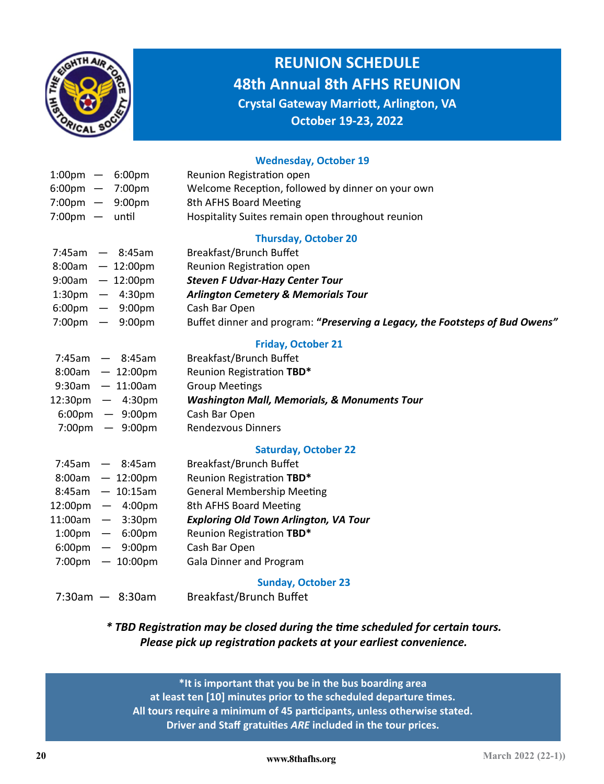

### **REUNION SCHEDULE 48th Annual 8th AFHS REUNION Crystal Gateway Marriott, Arlington, VA**

**October 19-23, 2022**

#### **Wednesday, October 19**

| $1:00 \text{pm} - 6:00 \text{pm}$<br>$6:00 \text{pm}$ - 7:00pm | Reunion Registration open<br>Welcome Reception, followed by dinner on your own |
|----------------------------------------------------------------|--------------------------------------------------------------------------------|
| $7:00 \text{pm} - 9:00 \text{pm}$                              | 8th AFHS Board Meeting                                                         |
| $7:00 \text{pm}$ - until                                       | Hospitality Suites remain open throughout reunion                              |
|                                                                | <b>Thursday, October 20</b>                                                    |
| $7:45am$ - 8:45am                                              | Breakfast/Brunch Buffet                                                        |
| $8:00am - 12:00pm$                                             | Reunion Registration open                                                      |
| $9:00$ am - 12:00pm                                            | <b>Steven F Udvar-Hazy Center Tour</b>                                         |
| $1:30 \text{pm} - 4:30 \text{pm}$                              | <b>Arlington Cemetery &amp; Memorials Tour</b>                                 |
| $6:00 \text{pm}$ - $9:00 \text{pm}$                            | Cash Bar Open                                                                  |
| 7:00 <sub>pm</sub><br>$-9:00 \text{pm}$                        | Buffet dinner and program: "Preserving a Legacy, the Footsteps of Bud Owens"   |
|                                                                | <b>Friday, October 21</b>                                                      |
| $7:45am$ - 8:45am                                              | Breakfast/Brunch Buffet                                                        |
| $8:00am$ - 12:00pm                                             | Reunion Registration TBD*                                                      |
| $9:30$ am - 11:00am                                            | <b>Group Meetings</b>                                                          |
| $12:30 \text{pm}$ - 4:30pm                                     | <b>Washington Mall, Memorials, &amp; Monuments Tour</b>                        |
| $6:00 \text{pm}$ - 9:00pm                                      | Cash Bar Open                                                                  |
| $7:00 \text{pm}$ - 9:00pm                                      | <b>Rendezvous Dinners</b>                                                      |
|                                                                | <b>Saturday, October 22</b>                                                    |
| $7:45am$ - 8:45am                                              | Breakfast/Brunch Buffet                                                        |
| $8:00am - 12:00pm$                                             | Reunion Registration TBD*                                                      |
| $8:45am - 10:15am$                                             | <b>General Membership Meeting</b>                                              |
| $12:00 \text{pm}$ - 4:00pm                                     | 8th AFHS Board Meeting                                                         |
| $11:00$ am - $3:30$ pm                                         | <b>Exploring Old Town Arlington, VA Tour</b>                                   |
| $1:00 \text{pm} - 6:00 \text{pm}$                              | Reunion Registration TBD*                                                      |
| $6:00 \text{pm}$ - $9:00 \text{pm}$                            | Cash Bar Open                                                                  |
| $7:00 \text{pm} - 10:00 \text{pm}$                             | <b>Gala Dinner and Program</b>                                                 |
|                                                                | <b>Sunday, October 23</b>                                                      |
| $7:30am - 8:30am$                                              | <b>Breakfast/Brunch Buffet</b>                                                 |
|                                                                |                                                                                |

### *\* TBD Registration may be closed during the time scheduled for certain tours. Please pick up registration packets at your earliest convenience.*

**\*It is important that you be in the bus boarding area at least ten [10] minutes prior to the scheduled departure times. All tours require a minimum of 45 participants, unless otherwise stated. Driver and Staff gratuities** *ARE* **included in the tour prices.**